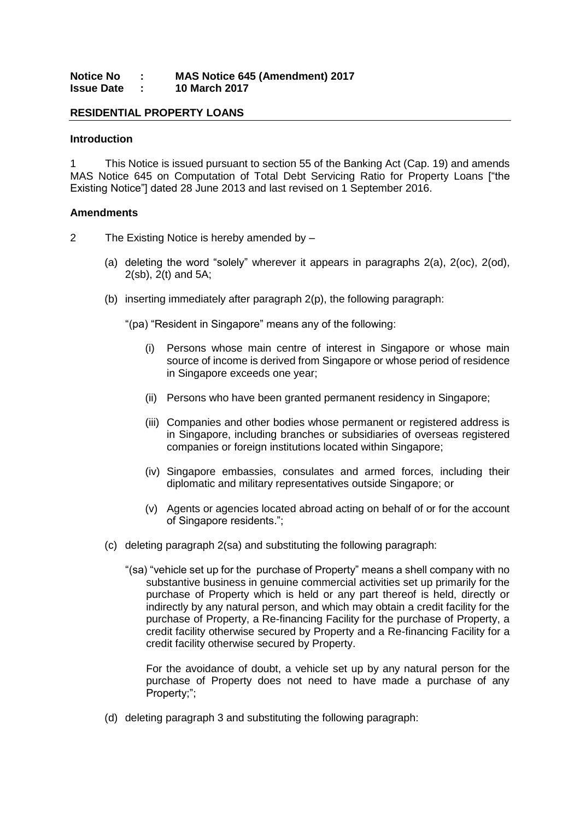### **Notice No : MAS Notice 645 (Amendment) 2017 Issue Date : 10 March 2017**

# **RESIDENTIAL PROPERTY LOANS**

#### **Introduction**

1 This Notice is issued pursuant to section 55 of the Banking Act (Cap. 19) and amends MAS Notice 645 on Computation of Total Debt Servicing Ratio for Property Loans ["the Existing Notice"] dated 28 June 2013 and last revised on 1 September 2016.

#### **Amendments**

- 2 The Existing Notice is hereby amended by
	- (a) deleting the word "solely" wherever it appears in paragraphs 2(a), 2(oc), 2(od), 2(sb), 2(t) and 5A;
	- (b) inserting immediately after paragraph 2(p), the following paragraph:

"(pa) "Resident in Singapore" means any of the following:

- (i) Persons whose main centre of interest in Singapore or whose main source of income is derived from Singapore or whose period of residence in Singapore exceeds one year;
- (ii) Persons who have been granted permanent residency in Singapore;
- (iii) Companies and other bodies whose permanent or registered address is in Singapore, including branches or subsidiaries of overseas registered companies or foreign institutions located within Singapore;
- (iv) Singapore embassies, consulates and armed forces, including their diplomatic and military representatives outside Singapore; or
- (v) Agents or agencies located abroad acting on behalf of or for the account of Singapore residents.";
- (c) deleting paragraph 2(sa) and substituting the following paragraph:
	- "(sa) "vehicle set up for the purchase of Property" means a shell company with no substantive business in genuine commercial activities set up primarily for the purchase of Property which is held or any part thereof is held, directly or indirectly by any natural person, and which may obtain a credit facility for the purchase of Property, a Re-financing Facility for the purchase of Property, a credit facility otherwise secured by Property and a Re-financing Facility for a credit facility otherwise secured by Property.

For the avoidance of doubt, a vehicle set up by any natural person for the purchase of Property does not need to have made a purchase of any Property;";

(d) deleting paragraph 3 and substituting the following paragraph: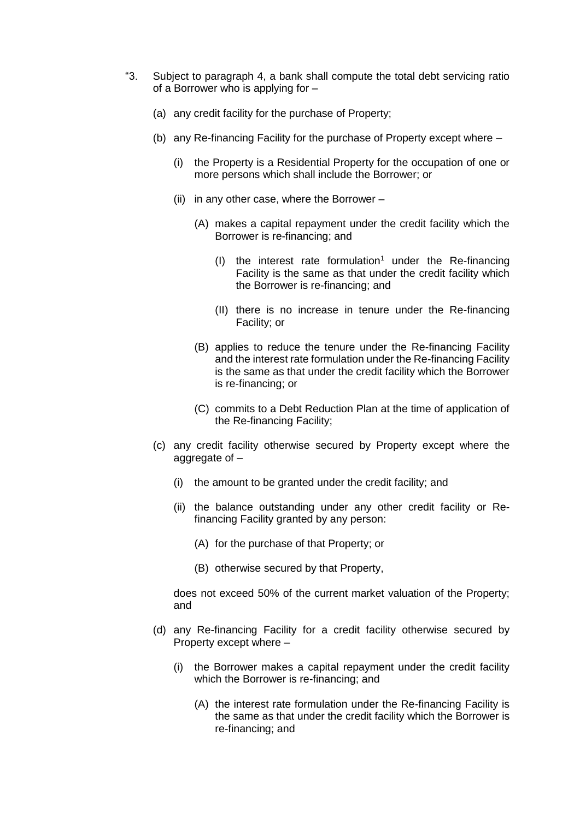- "3. Subject to paragraph 4, a bank shall compute the total debt servicing ratio of a Borrower who is applying for –
	- (a) any credit facility for the purchase of Property;
	- (b) any Re-financing Facility for the purchase of Property except where
		- (i) the Property is a Residential Property for the occupation of one or more persons which shall include the Borrower; or
		- (ii) in any other case, where the Borrower  $-$ 
			- (A) makes a capital repayment under the credit facility which the Borrower is re-financing; and
				- (I) the interest rate formulation<sup>1</sup> under the Re-financing Facility is the same as that under the credit facility which the Borrower is re-financing; and
				- (II) there is no increase in tenure under the Re-financing Facility; or
			- (B) applies to reduce the tenure under the Re-financing Facility and the interest rate formulation under the Re-financing Facility is the same as that under the credit facility which the Borrower is re-financing; or
			- (C) commits to a Debt Reduction Plan at the time of application of the Re-financing Facility;
	- (c) any credit facility otherwise secured by Property except where the aggregate of –
		- (i) the amount to be granted under the credit facility; and
		- (ii) the balance outstanding under any other credit facility or Refinancing Facility granted by any person:
			- (A) for the purchase of that Property; or
			- (B) otherwise secured by that Property,

does not exceed 50% of the current market valuation of the Property; and

- (d) any Re-financing Facility for a credit facility otherwise secured by Property except where –
	- (i) the Borrower makes a capital repayment under the credit facility which the Borrower is re-financing; and
		- (A) the interest rate formulation under the Re-financing Facility is the same as that under the credit facility which the Borrower is re-financing; and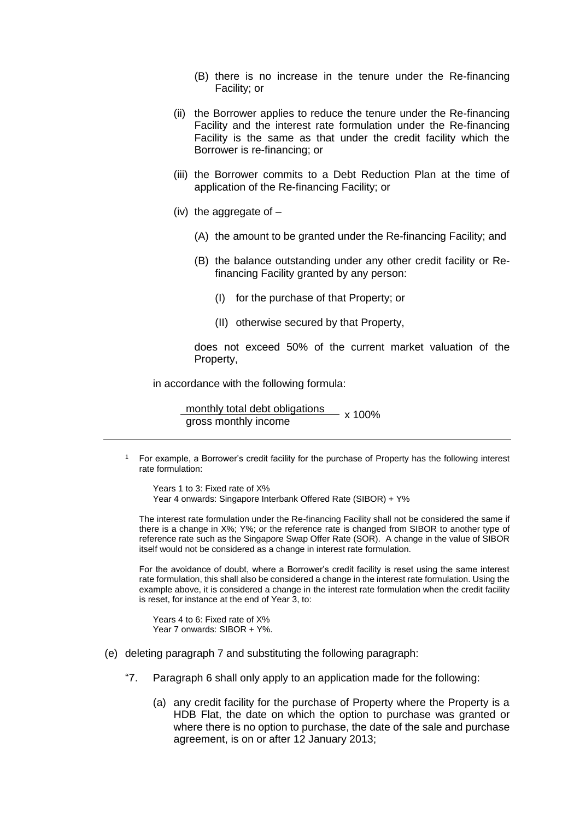- (B) there is no increase in the tenure under the Re-financing Facility; or
- (ii) the Borrower applies to reduce the tenure under the Re-financing Facility and the interest rate formulation under the Re-financing Facility is the same as that under the credit facility which the Borrower is re-financing; or
- (iii) the Borrower commits to a Debt Reduction Plan at the time of application of the Re-financing Facility; or
- (iv) the aggregate of
	- (A) the amount to be granted under the Re-financing Facility; and
	- (B) the balance outstanding under any other credit facility or Refinancing Facility granted by any person:
		- (I) for the purchase of that Property; or
		- (II) otherwise secured by that Property,

does not exceed 50% of the current market valuation of the Property,

in accordance with the following formula:

monthly total debt obligations<br>gross monthly income<br>x 100%

<sup>1</sup> For example, a Borrower's credit facility for the purchase of Property has the following interest rate formulation:

Years 1 to 3: Fixed rate of X% Year 4 onwards: Singapore Interbank Offered Rate (SIBOR) + Y%

The interest rate formulation under the Re-financing Facility shall not be considered the same if there is a change in X%; Y%; or the reference rate is changed from SIBOR to another type of reference rate such as the Singapore Swap Offer Rate (SOR). A change in the value of SIBOR itself would not be considered as a change in interest rate formulation.

For the avoidance of doubt, where a Borrower's credit facility is reset using the same interest rate formulation, this shall also be considered a change in the interest rate formulation. Using the example above, it is considered a change in the interest rate formulation when the credit facility is reset, for instance at the end of Year 3, to:

Years 4 to 6: Fixed rate of X% Year 7 onwards: SIBOR + Y%.

- (e) deleting paragraph 7 and substituting the following paragraph:
	- "7. Paragraph 6 shall only apply to an application made for the following:
		- (a) any credit facility for the purchase of Property where the Property is a HDB Flat, the date on which the option to purchase was granted or where there is no option to purchase, the date of the sale and purchase agreement, is on or after 12 January 2013;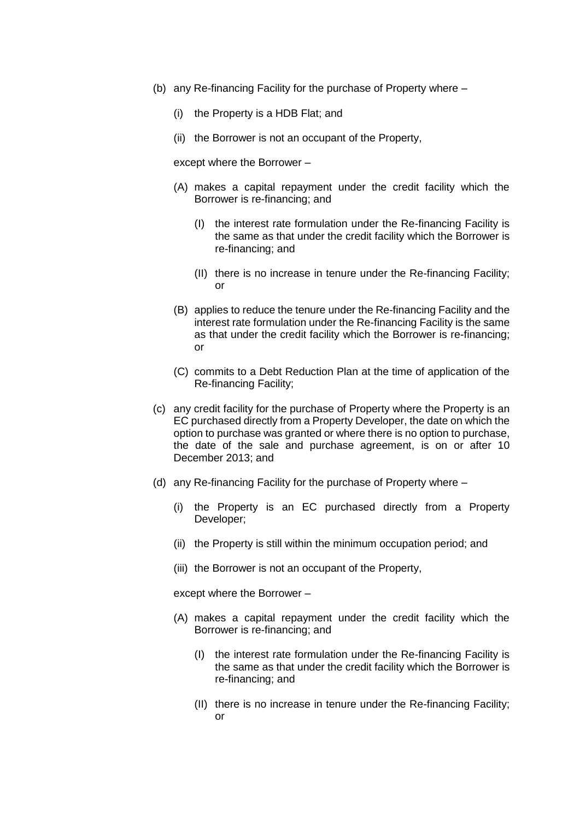- (b) any Re-financing Facility for the purchase of Property where
	- (i) the Property is a HDB Flat; and
	- (ii) the Borrower is not an occupant of the Property,

except where the Borrower –

- (A) makes a capital repayment under the credit facility which the Borrower is re-financing; and
	- (I) the interest rate formulation under the Re-financing Facility is the same as that under the credit facility which the Borrower is re-financing; and
	- (II) there is no increase in tenure under the Re-financing Facility; or
- (B) applies to reduce the tenure under the Re-financing Facility and the interest rate formulation under the Re-financing Facility is the same as that under the credit facility which the Borrower is re-financing; or
- (C) commits to a Debt Reduction Plan at the time of application of the Re-financing Facility;
- (c) any credit facility for the purchase of Property where the Property is an EC purchased directly from a Property Developer, the date on which the option to purchase was granted or where there is no option to purchase, the date of the sale and purchase agreement, is on or after 10 December 2013; and
- (d) any Re-financing Facility for the purchase of Property where
	- (i) the Property is an EC purchased directly from a Property Developer;
	- (ii) the Property is still within the minimum occupation period; and
	- (iii) the Borrower is not an occupant of the Property,

except where the Borrower –

- (A) makes a capital repayment under the credit facility which the Borrower is re-financing; and
	- (I) the interest rate formulation under the Re-financing Facility is the same as that under the credit facility which the Borrower is re-financing; and
	- (II) there is no increase in tenure under the Re-financing Facility; or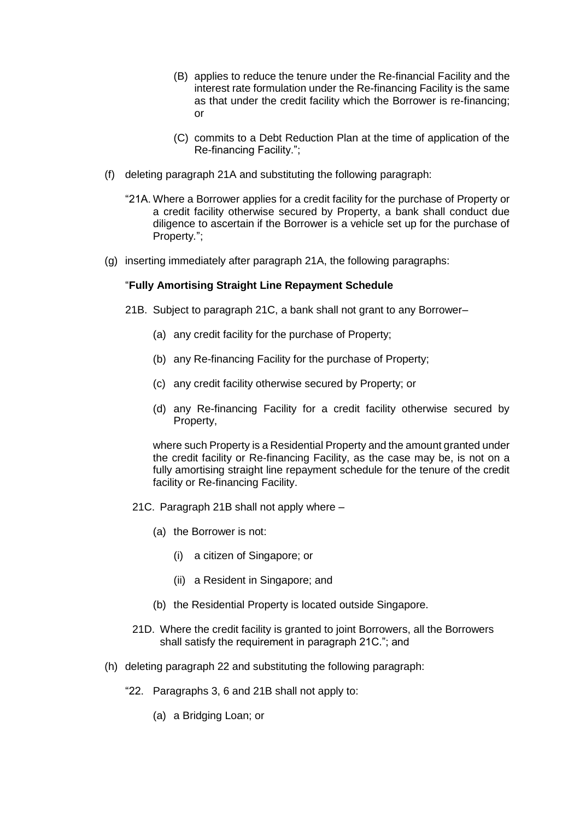- (B) applies to reduce the tenure under the Re-financial Facility and the interest rate formulation under the Re-financing Facility is the same as that under the credit facility which the Borrower is re-financing; or
- (C) commits to a Debt Reduction Plan at the time of application of the Re-financing Facility.";
- (f) deleting paragraph 21A and substituting the following paragraph:
	- "21A. Where a Borrower applies for a credit facility for the purchase of Property or a credit facility otherwise secured by Property, a bank shall conduct due diligence to ascertain if the Borrower is a vehicle set up for the purchase of Property*.*";
- (g) inserting immediately after paragraph 21A, the following paragraphs:

## "**Fully Amortising Straight Line Repayment Schedule**

- 21B. Subject to paragraph 21C, a bank shall not grant to any Borrower–
	- (a) any credit facility for the purchase of Property;
	- (b) any Re-financing Facility for the purchase of Property;
	- (c) any credit facility otherwise secured by Property; or
	- (d) any Re-financing Facility for a credit facility otherwise secured by Property,

where such Property is a Residential Property and the amount granted under the credit facility or Re-financing Facility, as the case may be, is not on a fully amortising straight line repayment schedule for the tenure of the credit facility or Re-financing Facility.

- 21C. Paragraph 21B shall not apply where
	- (a) the Borrower is not:
		- (i) a citizen of Singapore; or
		- (ii) a Resident in Singapore; and
	- (b) the Residential Property is located outside Singapore.
- 21D. Where the credit facility is granted to joint Borrowers, all the Borrowers shall satisfy the requirement in paragraph 21C."; and
- (h) deleting paragraph 22 and substituting the following paragraph:
	- "22. Paragraphs 3, 6 and 21B shall not apply to:
		- (a) a Bridging Loan; or